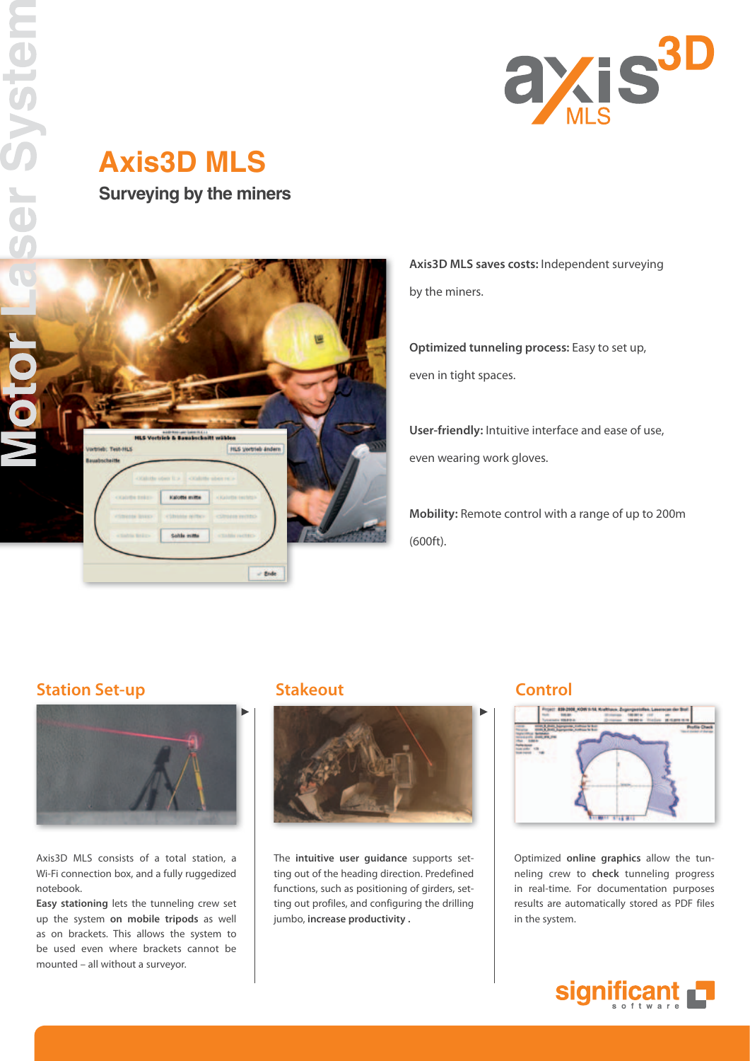

# **Axis3D MLS Surveying by the miners**



**Axis3D MLS saves costs:** Independent surveying by the miners.

**Optimized tunneling process:** Easy to set up, even in tight spaces.

**User-friendly:** Intuitive interface and ease of use, even wearing work gloves.

**Mobility:** Remote control with a range of up to 200m (600ft).

## **Station Set-up Control Stakeout Control**



Axis3D MLS consists of a total station, a Wi-Fi connection box, and a fully ruggedized notebook.

**Easy stationing** lets the tunneling crew set up the system **on mobile tripods** as well as on brackets. This allows the system to be used even where brackets cannot be mounted – all without a surveyor.



The **intuitive user guidance** supports setting out of the heading direction. Predefined functions, such as positioning of girders, setting out profiles, and configuring the drilling jumbo, **increase productivity .** 



Optimized **online graphics** allow the tunneling crew to **check** tunneling progress in real-time. For documentation purposes results are automatically stored as PDF files in the system.